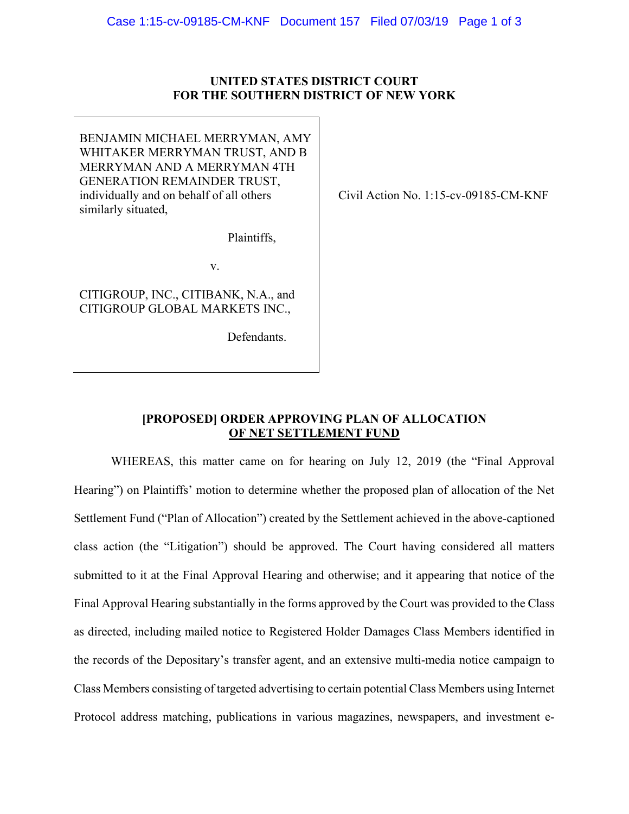## **UNITED STATES DISTRICT COURT FOR THE SOUTHERN DISTRICT OF NEW YORK**

BENJAMIN MICHAEL MERRYMAN, AMY WHITAKER MERRYMAN TRUST, AND B MERRYMAN AND A MERRYMAN 4TH GENERATION REMAINDER TRUST, individually and on behalf of all others similarly situated,

Plaintiffs,

v.

CITIGROUP, INC., CITIBANK, N.A., and CITIGROUP GLOBAL MARKETS INC.,

Defendants.

Civil Action No. 1:15-cv-09185-CM-KNF

## **[PROPOSED] ORDER APPROVING PLAN OF ALLOCATION OF NET SETTLEMENT FUND**

WHEREAS, this matter came on for hearing on July 12, 2019 (the "Final Approval Hearing") on Plaintiffs' motion to determine whether the proposed plan of allocation of the Net Settlement Fund ("Plan of Allocation") created by the Settlement achieved in the above-captioned class action (the "Litigation") should be approved. The Court having considered all matters submitted to it at the Final Approval Hearing and otherwise; and it appearing that notice of the Final Approval Hearing substantially in the forms approved by the Court was provided to the Class as directed, including mailed notice to Registered Holder Damages Class Members identified in the records of the Depositary's transfer agent, and an extensive multi-media notice campaign to Class Members consisting of targeted advertising to certain potential Class Members using Internet Protocol address matching, publications in various magazines, newspapers, and investment e-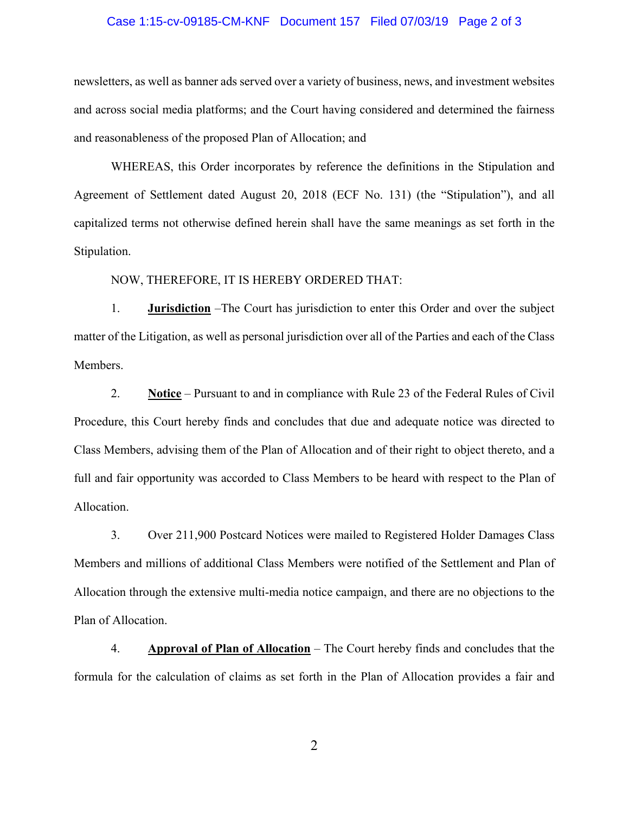## Case 1:15-cv-09185-CM-KNF Document 157 Filed 07/03/19 Page 2 of 3

newsletters, as well as banner ads served over a variety of business, news, and investment websites and across social media platforms; and the Court having considered and determined the fairness and reasonableness of the proposed Plan of Allocation; and

WHEREAS, this Order incorporates by reference the definitions in the Stipulation and Agreement of Settlement dated August 20, 2018 (ECF No. 131) (the "Stipulation"), and all capitalized terms not otherwise defined herein shall have the same meanings as set forth in the Stipulation.

NOW, THEREFORE, IT IS HEREBY ORDERED THAT:

1. **Jurisdiction** –The Court has jurisdiction to enter this Order and over the subject matter of the Litigation, as well as personal jurisdiction over all of the Parties and each of the Class Members.

2. **Notice** – Pursuant to and in compliance with Rule 23 of the Federal Rules of Civil Procedure, this Court hereby finds and concludes that due and adequate notice was directed to Class Members, advising them of the Plan of Allocation and of their right to object thereto, and a full and fair opportunity was accorded to Class Members to be heard with respect to the Plan of Allocation.

3. Over 211,900 Postcard Notices were mailed to Registered Holder Damages Class Members and millions of additional Class Members were notified of the Settlement and Plan of Allocation through the extensive multi-media notice campaign, and there are no objections to the Plan of Allocation.

4. **Approval of Plan of Allocation** – The Court hereby finds and concludes that the formula for the calculation of claims as set forth in the Plan of Allocation provides a fair and